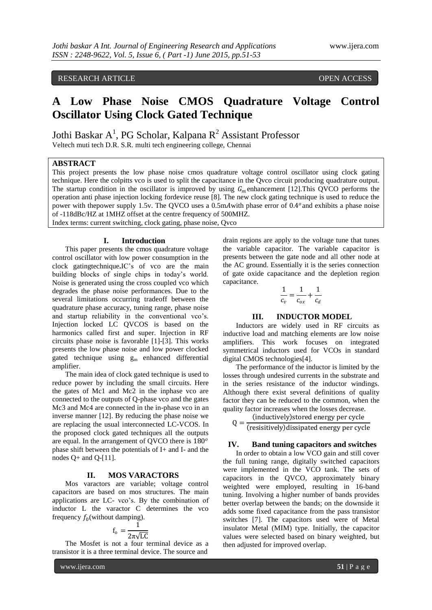# **A Low Phase Noise CMOS Quadrature Voltage Control Oscillator Using Clock Gated Technique**

Jothi Baskar A<sup>1</sup>, PG Scholar, Kalpana R<sup>2</sup> Assistant Professor Veltech muti tech D.R. S.R. multi tech engineering college, Chennai

## **ABSTRACT**

This project presents the low phase noise cmos quadrature voltage control oscillator using clock gating technique. Here the colpitts vco is used to split the capacitance in the Qvco circuit producing quadrature output. The startup condition in the oscillator is improved by using  $G_m$  enhancement [12]. This QVCO performs the operation anti phase injection locking fordevice reuse [8]. The new clock gating technique is used to reduce the power with thepower supply 1.5v. The QVCO uses a 0.5mA with phase error of 0.4<sup>o</sup> and exhibits a phase noise of -118dBc/HZ at 1MHZ offset at the centre frequency of 500MHZ. Index terms: current switching, clock gating, phase noise, Qvco

**I. Introduction**

This paper presents the cmos quadrature voltage control oscillator with low power consumption in the clock gatingtechnique**.**IC's of vco are the main building blocks of single chips in today's world. Noise is generated using the cross coupled vco which degrades the phase noise performances. Due to the several limitations occurring tradeoff between the quadrature phase accuracy, tuning range, phase noise and startup reliability in the conventional vco's. Injection locked LC QVCOS is based on the harmonics called first and super. Injection in RF circuits phase noise is favorable [1]-[3]. This works presents the low phase noise and low power clocked gated technique using  $g_m$  enhanced differential amplifier.

The main idea of clock gated technique is used to reduce power by including the small circuits. Here the gates of Mc1 and Mc2 in the inphase vco are connected to the outputs of Q-phase vco and the gates Mc3 and Mc4 are connected in the in-phase vco in an inverse manner [12]. By reducing the phase noise we are replacing the usual interconnected LC-VCOS. In the proposed clock gated techniques all the outputs are equal. In the arrangement of QVCO there is 180<sup>o</sup> phase shift between the potentials of I+ and I- and the nodes  $Q+$  and  $Q-[11]$ .

#### **II. MOS VARACTORS**

Mos varactors are variable; voltage control capacitors are based on mos structures. The main applications are LC- vco's. By the combination of inductor L the varactor C determines the vco frequency  $f_0$ (without damping).

$$
f_o = \frac{1}{2\pi\sqrt{LC}}
$$

The Mosfet is not a four terminal device as a transistor it is a three terminal device. The source and

www.ijera.com **51** | P a g e

drain regions are apply to the voltage tune that tunes the variable capacitor. The variable capacitor is presents between the gate node and all other node at the AC ground. Essentially it is the series connection of gate oxide capacitance and the depletion region capacitance.

$$
\frac{1}{c_v} = \frac{1}{c_{ox}} + \frac{1}{c_d}
$$

### **III. INDUCTOR MODEL**

Inductors are widely used in RF circuits as inductive load and matching elements are low noise amplifiers. This work focuses on integrated symmetrical inductors used for VCOs in standard digital CMOS technologies[4].

The performance of the inductor is limited by the losses through undesired currents in the substrate and in the series resistance of the inductor windings. Although there exist several definitions of quality factor they can be reduced to the common, when the quality factor increases when the losses decrease.

inductively stored energy per cycle

$$
Q = \frac{1}{\text{(resisitively) dissipated energy per cycle}}
$$

#### **IV. Band tuning capacitors and switches**

In order to obtain a low VCO gain and still cover the full tuning range, digitally switched capacitors were implemented in the VCO tank. The sets of capacitors in the QVCO, approximately binary weighted were employed, resulting in 16-band tuning. Involving a higher number of bands provides better overlap between the bands; on the downside it adds some fixed capacitance from the pass transistor switches [7]. The capacitors used were of Metal insulator Metal (MIM) type. Initially, the capacitor values were selected based on binary weighted, but then adjusted for improved overlap.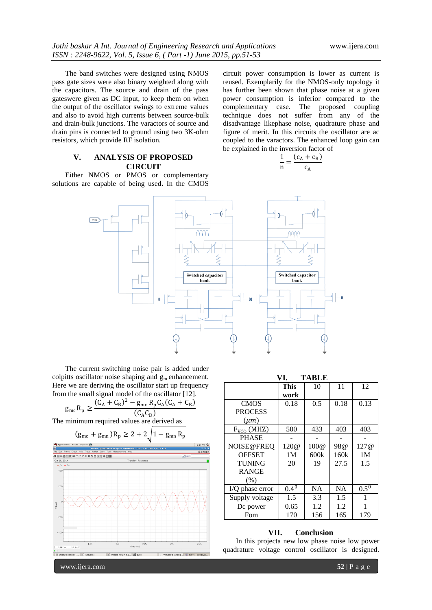The band switches were designed using NMOS pass gate sizes were also binary weighted along with the capacitors. The source and drain of the pass gateswere given as DC input, to keep them on when the output of the oscillator swings to extreme values and also to avoid high currents between source-bulk and drain-bulk junctions. The varactors of source and drain pins is connected to ground using two 3K-ohm resistors, which provide RF isolation.

# **V. ANALYSIS OF PROPOSED CIRCUIT**

Either NMOS or PMOS or complementary solutions are capable of being used**.** In the CMOS circuit power consumption is lower as current is reused. Exemplarily for the NMOS-only topology it has further been shown that phase noise at a given power consumption is inferior compared to the complementary case. The proposed coupling technique does not suffer from any of the disadvantage likephase noise, quadrature phase and figure of merit. In this circuits the oscillator are ac coupled to the varactors. The enhanced loop gain can be explained in the inversion factor of

$$
\frac{1}{n} = \frac{(c_A + c_B)}{c_A}
$$



The current switching noise pair is added under colpitts oscillator noise shaping and  $g_m$  enhancement. Here we are deriving the oscillator start up frequency from the small signal model of the oscillator [12].

$$
g_{\rm mc} R_{\rm p} \ge \frac{(C_{\rm A} + C_{\rm B})^2 - g_{\rm mn} R_{\rm p} C_{\rm A} (C_{\rm A} + C_{\rm B})}{(C_{\rm A} C_{\rm B})}
$$

The minimum required values are derived as

$$
(g_{\text{mc}} + g_{\text{mn}})R_p \ge 2 + 2 \sqrt{1 - g_{\text{mn}}R_p}
$$



|                 | <b>This</b>    | 10   | 11        | 12             |
|-----------------|----------------|------|-----------|----------------|
|                 | work           |      |           |                |
| <b>CMOS</b>     | 0.18           | 0.5  | 0.18      | 0.13           |
| <b>PROCESS</b>  |                |      |           |                |
| $(\mu m)$       |                |      |           |                |
| $FVCO$ (MHZ)    | 500            | 433  | 403       | 403            |
| <b>PHASE</b>    |                |      |           |                |
| NOISE@FREQ      | 120@           | 100@ | 98@       | 127@           |
| <b>OFFSET</b>   | 1 <sub>M</sub> | 600k | 160k      | 1 <sub>M</sub> |
| <b>TUNING</b>   | 20             | 19   | 27.5      | 1.5            |
| <b>RANGE</b>    |                |      |           |                |
| (% )            |                |      |           |                |
| I/Q phase error | $0.4^{0}$      | NA   | <b>NA</b> | $0.5^{0}$      |
| Supply voltage  | 1.5            | 3.3  | 1.5       | 1              |
| Dc power        | 0.65           | 1.2  | 1.2       | 1              |
| Fom             | 170            | 156  | 165       | 179            |

#### **VII. Conclusion**

In this projecta new low phase noise low power quadrature voltage control oscillator is designed.